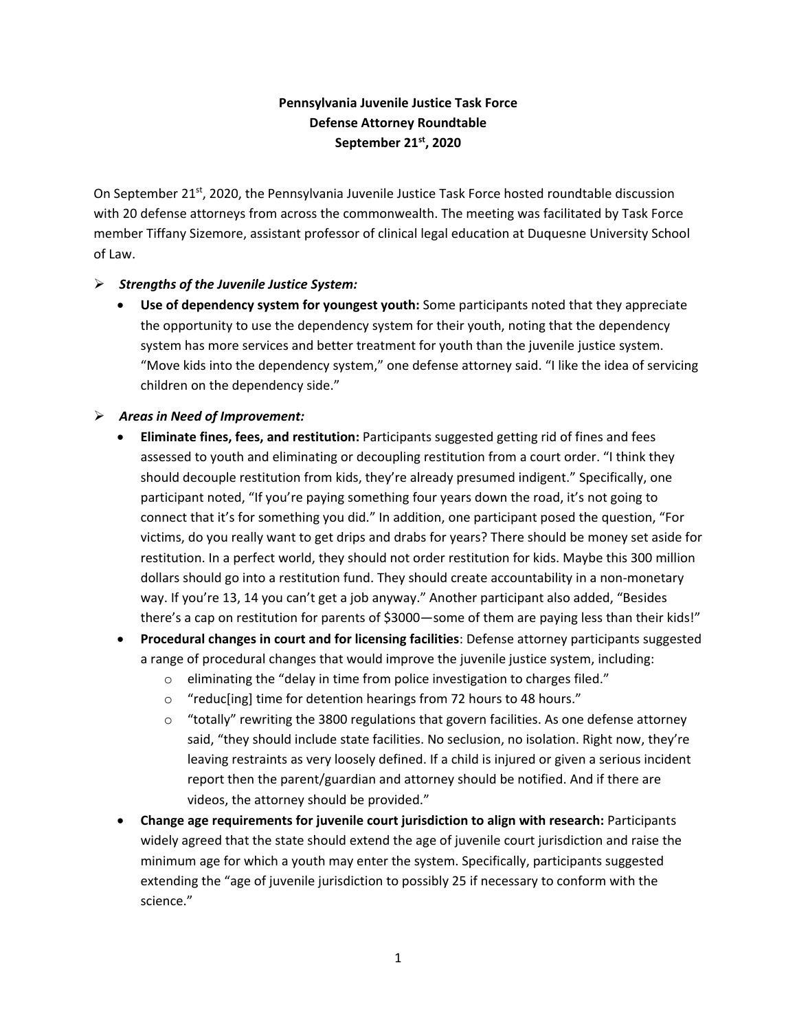## **Pennsylvania Juvenile Justice Task Force Defense Attorney Roundtable September 21st, 2020**

On September 21<sup>st</sup>, 2020, the Pennsylvania Juvenile Justice Task Force hosted roundtable discussion with 20 defense attorneys from across the commonwealth. The meeting was facilitated by Task Force member Tiffany Sizemore, assistant professor of clinical legal education at Duquesne University School of Law.

## ➢ *Strengths of the Juvenile Justice System:*

• **Use of dependency system for youngest youth:** Some participants noted that they appreciate the opportunity to use the dependency system for their youth, noting that the dependency system has more services and better treatment for youth than the juvenile justice system. "Move kids into the dependency system," one defense attorney said. "I like the idea of servicing children on the dependency side."

## ➢ *Areas in Need of Improvement:*

- **Eliminate fines, fees, and restitution:** Participants suggested getting rid of fines and fees assessed to youth and eliminating or decoupling restitution from a court order. "I think they should decouple restitution from kids, they're already presumed indigent." Specifically, one participant noted, "If you're paying something four years down the road, it's not going to connect that it's for something you did." In addition, one participant posed the question, "For victims, do you really want to get drips and drabs for years? There should be money set aside for restitution. In a perfect world, they should not order restitution for kids. Maybe this 300 million dollars should go into a restitution fund. They should create accountability in a non-monetary way. If you're 13, 14 you can't get a job anyway." Another participant also added, "Besides there's a cap on restitution for parents of \$3000—some of them are paying less than their kids!"
- **Procedural changes in court and for licensing facilities**: Defense attorney participants suggested a range of procedural changes that would improve the juvenile justice system, including:
	- o eliminating the "delay in time from police investigation to charges filed."
	- o "reduc[ing] time for detention hearings from 72 hours to 48 hours."
	- $\circ$  "totally" rewriting the 3800 regulations that govern facilities. As one defense attorney said, "they should include state facilities. No seclusion, no isolation. Right now, they're leaving restraints as very loosely defined. If a child is injured or given a serious incident report then the parent/guardian and attorney should be notified. And if there are videos, the attorney should be provided."
- **Change age requirements for juvenile court jurisdiction to align with research:** Participants widely agreed that the state should extend the age of juvenile court jurisdiction and raise the minimum age for which a youth may enter the system. Specifically, participants suggested extending the "age of juvenile jurisdiction to possibly 25 if necessary to conform with the science."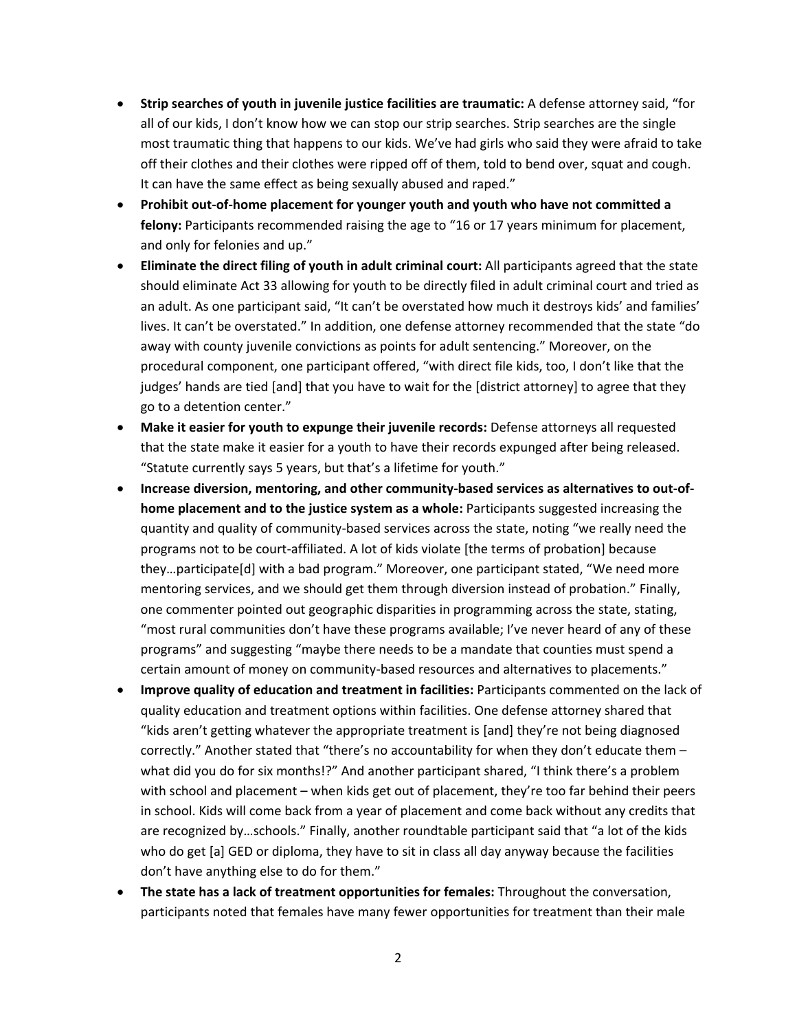- **Strip searches of youth in juvenile justice facilities are traumatic:** A defense attorney said, "for all of our kids, I don't know how we can stop our strip searches. Strip searches are the single most traumatic thing that happens to our kids. We've had girls who said they were afraid to take off their clothes and their clothes were ripped off of them, told to bend over, squat and cough. It can have the same effect as being sexually abused and raped."
- **Prohibit out-of-home placement for younger youth and youth who have not committed a felony:** Participants recommended raising the age to "16 or 17 years minimum for placement, and only for felonies and up."
- **Eliminate the direct filing of youth in adult criminal court:** All participants agreed that the state should eliminate Act 33 allowing for youth to be directly filed in adult criminal court and tried as an adult. As one participant said, "It can't be overstated how much it destroys kids' and families' lives. It can't be overstated." In addition, one defense attorney recommended that the state "do away with county juvenile convictions as points for adult sentencing." Moreover, on the procedural component, one participant offered, "with direct file kids, too, I don't like that the judges' hands are tied [and] that you have to wait for the [district attorney] to agree that they go to a detention center."
- **Make it easier for youth to expunge their juvenile records:** Defense attorneys all requested that the state make it easier for a youth to have their records expunged after being released. "Statute currently says 5 years, but that's a lifetime for youth."
- **Increase diversion, mentoring, and other community-based services as alternatives to out-ofhome placement and to the justice system as a whole:** Participants suggested increasing the quantity and quality of community-based services across the state, noting "we really need the programs not to be court-affiliated. A lot of kids violate [the terms of probation] because they…participate[d] with a bad program." Moreover, one participant stated, "We need more mentoring services, and we should get them through diversion instead of probation." Finally, one commenter pointed out geographic disparities in programming across the state, stating, "most rural communities don't have these programs available; I've never heard of any of these programs" and suggesting "maybe there needs to be a mandate that counties must spend a certain amount of money on community-based resources and alternatives to placements."
- **Improve quality of education and treatment in facilities:** Participants commented on the lack of quality education and treatment options within facilities. One defense attorney shared that "kids aren't getting whatever the appropriate treatment is [and] they're not being diagnosed correctly." Another stated that "there's no accountability for when they don't educate them – what did you do for six months!?" And another participant shared, "I think there's a problem with school and placement – when kids get out of placement, they're too far behind their peers in school. Kids will come back from a year of placement and come back without any credits that are recognized by…schools." Finally, another roundtable participant said that "a lot of the kids who do get [a] GED or diploma, they have to sit in class all day anyway because the facilities don't have anything else to do for them."
- **The state has a lack of treatment opportunities for females:** Throughout the conversation, participants noted that females have many fewer opportunities for treatment than their male